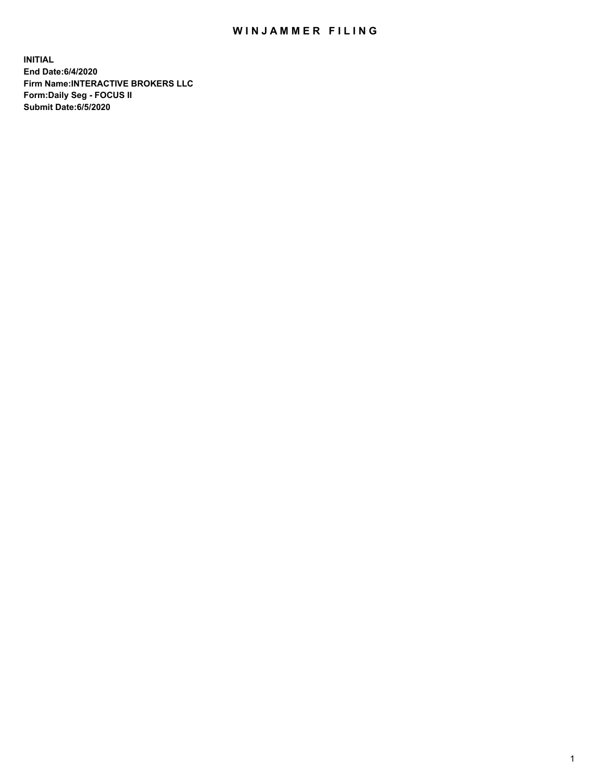## WIN JAMMER FILING

**INITIAL End Date:6/4/2020 Firm Name:INTERACTIVE BROKERS LLC Form:Daily Seg - FOCUS II Submit Date:6/5/2020**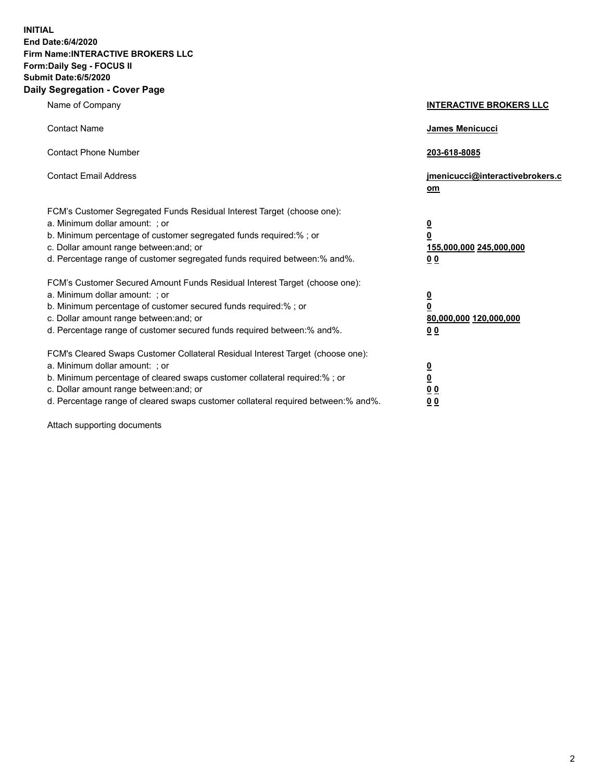**INITIAL End Date:6/4/2020 Firm Name:INTERACTIVE BROKERS LLC Form:Daily Seg - FOCUS II Submit Date:6/5/2020 Daily Segregation - Cover Page**

| Name of Company                                                                                                                                                                                                                                                                                                                | <b>INTERACTIVE BROKERS LLC</b>                                                                 |
|--------------------------------------------------------------------------------------------------------------------------------------------------------------------------------------------------------------------------------------------------------------------------------------------------------------------------------|------------------------------------------------------------------------------------------------|
| <b>Contact Name</b>                                                                                                                                                                                                                                                                                                            | <b>James Menicucci</b>                                                                         |
| <b>Contact Phone Number</b>                                                                                                                                                                                                                                                                                                    | 203-618-8085                                                                                   |
| <b>Contact Email Address</b>                                                                                                                                                                                                                                                                                                   | jmenicucci@interactivebrokers.c<br>om                                                          |
| FCM's Customer Segregated Funds Residual Interest Target (choose one):<br>a. Minimum dollar amount: ; or<br>b. Minimum percentage of customer segregated funds required:% ; or<br>c. Dollar amount range between: and; or<br>d. Percentage range of customer segregated funds required between:% and%.                         | <u>0</u><br>$\overline{\mathbf{0}}$<br>155,000,000 245,000,000<br>0 <sub>0</sub>               |
| FCM's Customer Secured Amount Funds Residual Interest Target (choose one):<br>a. Minimum dollar amount: ; or<br>b. Minimum percentage of customer secured funds required:% ; or<br>c. Dollar amount range between: and; or<br>d. Percentage range of customer secured funds required between:% and%.                           | $\overline{\mathbf{0}}$<br>$\overline{\mathbf{0}}$<br>80,000,000 120,000,000<br>0 <sub>0</sub> |
| FCM's Cleared Swaps Customer Collateral Residual Interest Target (choose one):<br>a. Minimum dollar amount: ; or<br>b. Minimum percentage of cleared swaps customer collateral required:% ; or<br>c. Dollar amount range between: and; or<br>d. Percentage range of cleared swaps customer collateral required between:% and%. | $\overline{\mathbf{0}}$<br><u>0</u><br>$\underline{0}$ $\underline{0}$<br>00                   |

Attach supporting documents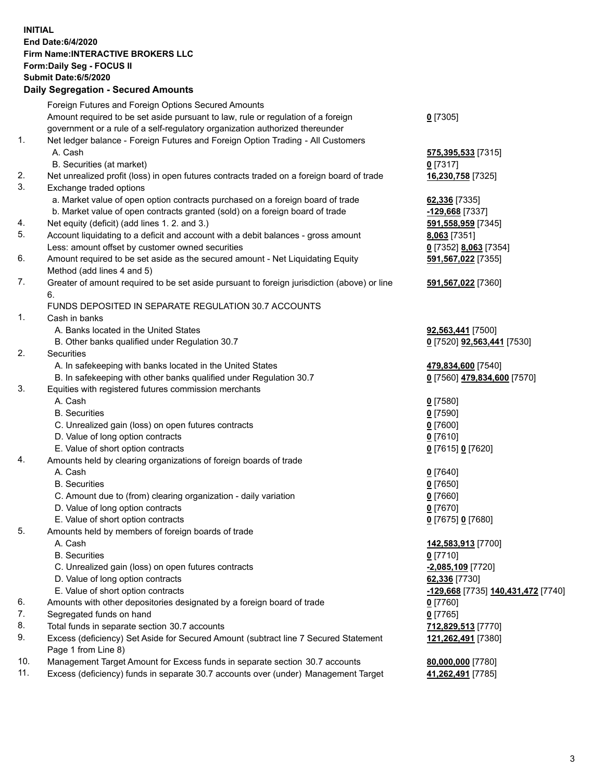## **INITIAL End Date:6/4/2020 Firm Name:INTERACTIVE BROKERS LLC Form:Daily Seg - FOCUS II Submit Date:6/5/2020 Daily Segregation - Secured Amounts**

|     | Daily Ocglegation - Occuled Anioants                                                                       |                                    |
|-----|------------------------------------------------------------------------------------------------------------|------------------------------------|
|     | Foreign Futures and Foreign Options Secured Amounts                                                        |                                    |
|     | Amount required to be set aside pursuant to law, rule or regulation of a foreign                           | $0$ [7305]                         |
|     | government or a rule of a self-regulatory organization authorized thereunder                               |                                    |
| 1.  | Net ledger balance - Foreign Futures and Foreign Option Trading - All Customers                            |                                    |
|     | A. Cash                                                                                                    | 575,395,533 [7315]                 |
|     | B. Securities (at market)                                                                                  | $0$ [7317]                         |
| 2.  | Net unrealized profit (loss) in open futures contracts traded on a foreign board of trade                  | 16,230,758 [7325]                  |
| 3.  | Exchange traded options                                                                                    |                                    |
|     | a. Market value of open option contracts purchased on a foreign board of trade                             | 62,336 [7335]                      |
|     | b. Market value of open contracts granted (sold) on a foreign board of trade                               | -129,668 [7337]                    |
| 4.  | Net equity (deficit) (add lines 1. 2. and 3.)                                                              | 591,558,959 [7345]                 |
| 5.  | Account liquidating to a deficit and account with a debit balances - gross amount                          | 8,063 [7351]                       |
|     | Less: amount offset by customer owned securities                                                           | 0 [7352] 8,063 [7354]              |
| 6.  | Amount required to be set aside as the secured amount - Net Liquidating Equity                             | 591,567,022 [7355]                 |
|     | Method (add lines 4 and 5)                                                                                 |                                    |
| 7.  | Greater of amount required to be set aside pursuant to foreign jurisdiction (above) or line                | 591,567,022 [7360]                 |
|     | 6.                                                                                                         |                                    |
|     | FUNDS DEPOSITED IN SEPARATE REGULATION 30.7 ACCOUNTS                                                       |                                    |
| 1.  | Cash in banks                                                                                              |                                    |
|     | A. Banks located in the United States                                                                      | 92,563,441 [7500]                  |
|     | B. Other banks qualified under Regulation 30.7                                                             | 0 [7520] 92,563,441 [7530]         |
| 2.  | Securities                                                                                                 |                                    |
|     | A. In safekeeping with banks located in the United States                                                  | 479,834,600 [7540]                 |
|     | B. In safekeeping with other banks qualified under Regulation 30.7                                         | 0 [7560] 479,834,600 [7570]        |
| 3.  | Equities with registered futures commission merchants                                                      |                                    |
|     | A. Cash                                                                                                    | $0$ [7580]                         |
|     | <b>B.</b> Securities                                                                                       | $0$ [7590]                         |
|     | C. Unrealized gain (loss) on open futures contracts                                                        | $0$ [7600]                         |
|     | D. Value of long option contracts                                                                          | $0$ [7610]                         |
|     | E. Value of short option contracts                                                                         | 0 [7615] 0 [7620]                  |
| 4.  | Amounts held by clearing organizations of foreign boards of trade                                          |                                    |
|     | A. Cash                                                                                                    | $0$ [7640]                         |
|     | <b>B.</b> Securities                                                                                       | $0$ [7650]                         |
|     | C. Amount due to (from) clearing organization - daily variation                                            | $0$ [7660]                         |
|     | D. Value of long option contracts                                                                          | $0$ [7670]                         |
|     | E. Value of short option contracts                                                                         | 0 [7675] 0 [7680]                  |
| 5.  | Amounts held by members of foreign boards of trade                                                         |                                    |
|     | A. Cash                                                                                                    | 142,583,913 [7700]                 |
|     | <b>B.</b> Securities                                                                                       | $0$ [7710]                         |
|     | C. Unrealized gain (loss) on open futures contracts                                                        | -2,085,109 [7720]                  |
|     | D. Value of long option contracts                                                                          | 62,336 [7730]                      |
|     | E. Value of short option contracts                                                                         | -129,668 [7735] 140,431,472 [7740] |
| 6.  | Amounts with other depositories designated by a foreign board of trade                                     | 0 [7760]                           |
| 7.  | Segregated funds on hand                                                                                   | $0$ [7765]                         |
| 8.  | Total funds in separate section 30.7 accounts                                                              | 712,829,513 [7770]                 |
| 9.  | Excess (deficiency) Set Aside for Secured Amount (subtract line 7 Secured Statement<br>Page 1 from Line 8) | 121,262,491 [7380]                 |
| 10. | Management Target Amount for Excess funds in separate section 30.7 accounts                                | 80,000,000 [7780]                  |
| 11. | Excess (deficiency) funds in separate 30.7 accounts over (under) Management Target                         | 41,262,491 [7785]                  |
|     |                                                                                                            |                                    |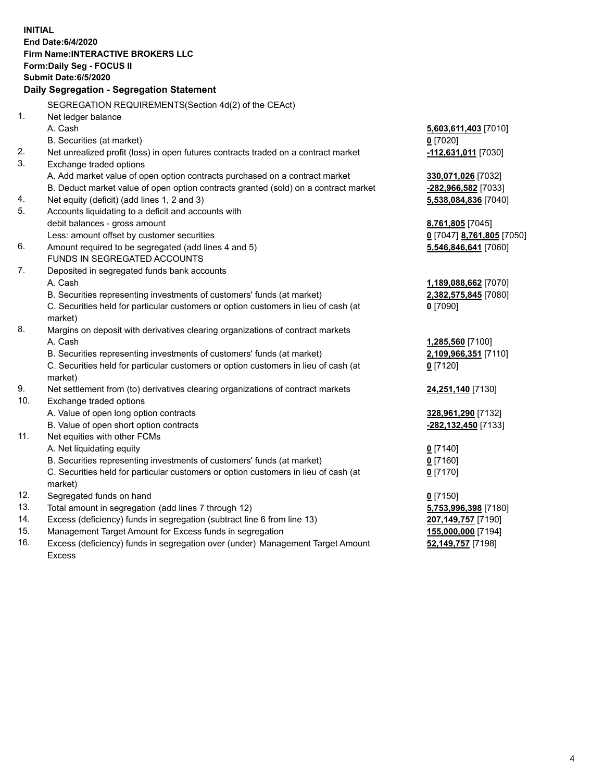| <b>INITIAL</b>                  | End Date: 6/4/2020<br><b>Firm Name:INTERACTIVE BROKERS LLC</b><br>Form: Daily Seg - FOCUS II<br><b>Submit Date:6/5/2020</b><br>Daily Segregation - Segregation Statement<br>SEGREGATION REQUIREMENTS(Section 4d(2) of the CEAct)                                                                                    |                                                                                                     |
|---------------------------------|---------------------------------------------------------------------------------------------------------------------------------------------------------------------------------------------------------------------------------------------------------------------------------------------------------------------|-----------------------------------------------------------------------------------------------------|
| 1.                              | Net ledger balance<br>A. Cash<br>B. Securities (at market)                                                                                                                                                                                                                                                          | 5,603,611,403 [7010]<br>$0$ [7020]                                                                  |
| 2.                              | Net unrealized profit (loss) in open futures contracts traded on a contract market                                                                                                                                                                                                                                  | -112,631,011 [7030]                                                                                 |
| 3.<br>4.                        | Exchange traded options<br>A. Add market value of open option contracts purchased on a contract market<br>B. Deduct market value of open option contracts granted (sold) on a contract market<br>Net equity (deficit) (add lines 1, 2 and 3)                                                                        | 330,071,026 [7032]<br>-282,966,582 [7033]<br>5,538,084,836 [7040]                                   |
| 5.                              | Accounts liquidating to a deficit and accounts with                                                                                                                                                                                                                                                                 |                                                                                                     |
| 6.                              | debit balances - gross amount<br>Less: amount offset by customer securities<br>Amount required to be segregated (add lines 4 and 5)<br>FUNDS IN SEGREGATED ACCOUNTS                                                                                                                                                 | 8,761,805 [7045]<br>0 [7047] 8,761,805 [7050]<br>5,546,846,641 [7060]                               |
| 7.                              | Deposited in segregated funds bank accounts<br>A. Cash<br>B. Securities representing investments of customers' funds (at market)<br>C. Securities held for particular customers or option customers in lieu of cash (at<br>market)                                                                                  | 1,189,088,662 [7070]<br>2,382,575,845 [7080]<br>$0$ [7090]                                          |
| 8.                              | Margins on deposit with derivatives clearing organizations of contract markets<br>A. Cash<br>B. Securities representing investments of customers' funds (at market)<br>C. Securities held for particular customers or option customers in lieu of cash (at<br>market)                                               | 1,285,560 [7100]<br>2,109,966,351 [7110]<br>$0$ [7120]                                              |
| 9.                              | Net settlement from (to) derivatives clearing organizations of contract markets                                                                                                                                                                                                                                     | 24,251,140 [7130]                                                                                   |
| 10.                             | Exchange traded options<br>A. Value of open long option contracts<br>B. Value of open short option contracts                                                                                                                                                                                                        | 328,961,290 [7132]<br>-282,132,450 [7133]                                                           |
| 11.                             | Net equities with other FCMs<br>A. Net liquidating equity<br>B. Securities representing investments of customers' funds (at market)<br>C. Securities held for particular customers or option customers in lieu of cash (at<br>market)                                                                               | $0$ [7140]<br>$0$ [7160]<br>$0$ [7170]                                                              |
| 12.<br>13.<br>14.<br>15.<br>16. | Segregated funds on hand<br>Total amount in segregation (add lines 7 through 12)<br>Excess (deficiency) funds in segregation (subtract line 6 from line 13)<br>Management Target Amount for Excess funds in segregation<br>Excess (deficiency) funds in segregation over (under) Management Target Amount<br>Excess | $0$ [7150]<br>5,753,996,398 [7180]<br>207,149,757 [7190]<br>155,000,000 [7194]<br>52,149,757 [7198] |